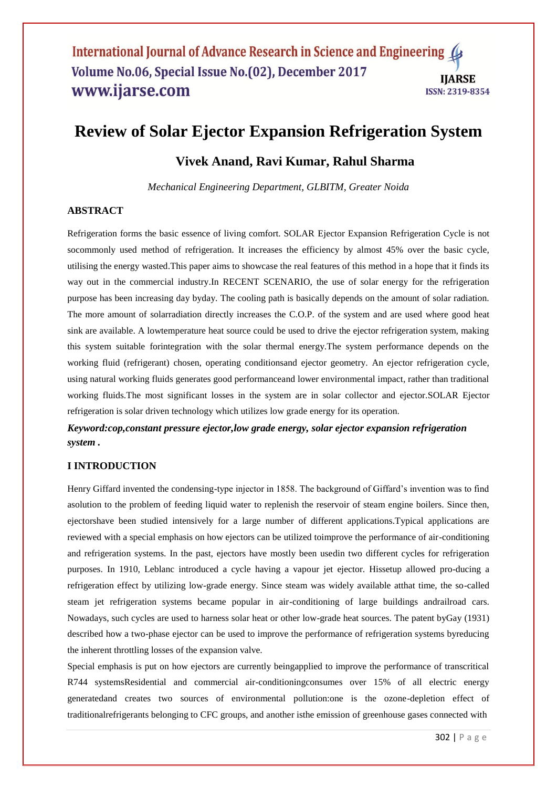# **Review of Solar Ejector Expansion Refrigeration System**

# **Vivek Anand, Ravi Kumar, Rahul Sharma**

*Mechanical Engineering Department, GLBITM, Greater Noida*

# **ABSTRACT**

Refrigeration forms the basic essence of living comfort. SOLAR Ejector Expansion Refrigeration Cycle is not socommonly used method of refrigeration. It increases the efficiency by almost 45% over the basic cycle, utilising the energy wasted.This paper aims to showcase the real features of this method in a hope that it finds its way out in the commercial industry.In RECENT SCENARIO, the use of solar energy for the refrigeration purpose has been increasing day byday. The cooling path is basically depends on the amount of solar radiation. The more amount of solarradiation directly increases the C.O.P. of the system and are used where good heat sink are available. A lowtemperature heat source could be used to drive the ejector refrigeration system, making this system suitable forintegration with the solar thermal energy.The system performance depends on the working fluid (refrigerant) chosen, operating conditionsand ejector geometry. An ejector refrigeration cycle, using natural working fluids generates good performanceand lower environmental impact, rather than traditional working fluids.The most significant losses in the system are in solar collector and ejector.SOLAR Ejector refrigeration is solar driven technology which utilizes low grade energy for its operation.

# *Keyword:cop,constant pressure ejector,low grade energy, solar ejector expansion refrigeration system .*

# **I INTRODUCTION**

Henry Giffard invented the condensing-type injector in 1858. The background of Giffard"s invention was to find asolution to the problem of feeding liquid water to replenish the reservoir of steam engine boilers. Since then, ejectorshave been studied intensively for a large number of different applications.Typical applications are reviewed with a special emphasis on how ejectors can be utilized toimprove the performance of air-conditioning and refrigeration systems. In the past, ejectors have mostly been usedin two different cycles for refrigeration purposes. In 1910, Leblanc introduced a cycle having a vapour jet ejector. Hissetup allowed pro-ducing a refrigeration effect by utilizing low-grade energy. Since steam was widely available atthat time, the so-called steam jet refrigeration systems became popular in air-conditioning of large buildings andrailroad cars. Nowadays, such cycles are used to harness solar heat or other low-grade heat sources. The patent byGay (1931) described how a two-phase ejector can be used to improve the performance of refrigeration systems byreducing the inherent throttling losses of the expansion valve.

Special emphasis is put on how ejectors are currently beingapplied to improve the performance of transcritical R744 systemsResidential and commercial air-conditioningconsumes over 15% of all electric energy generatedand creates two sources of environmental pollution:one is the ozone-depletion effect of traditionalrefrigerants belonging to CFC groups, and another isthe emission of greenhouse gases connected with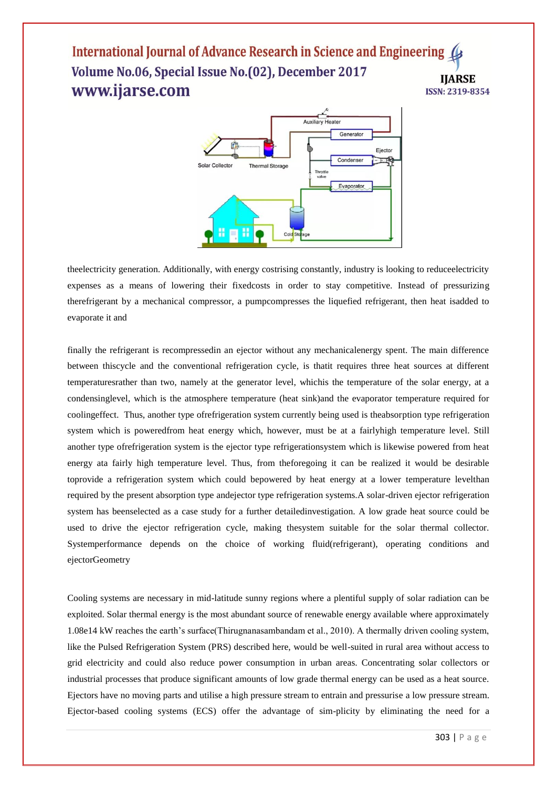

theelectricity generation. Additionally, with energy costrising constantly, industry is looking to reduceelectricity expenses as a means of lowering their fixedcosts in order to stay competitive. Instead of pressurizing therefrigerant by a mechanical compressor, a pumpcompresses the liquefied refrigerant, then heat isadded to evaporate it and

finally the refrigerant is recompressedin an ejector without any mechanicalenergy spent. The main difference between thiscycle and the conventional refrigeration cycle, is thatit requires three heat sources at different temperaturesrather than two, namely at the generator level, whichis the temperature of the solar energy, at a condensinglevel, which is the atmosphere temperature (heat sink)and the evaporator temperature required for coolingeffect. Thus, another type ofrefrigeration system currently being used is theabsorption type refrigeration system which is poweredfrom heat energy which, however, must be at a fairlyhigh temperature level. Still another type ofrefrigeration system is the ejector type refrigerationsystem which is likewise powered from heat energy ata fairly high temperature level. Thus, from theforegoing it can be realized it would be desirable toprovide a refrigeration system which could bepowered by heat energy at a lower temperature levelthan required by the present absorption type andejector type refrigeration systems.A solar-driven ejector refrigeration system has beenselected as a case study for a further detailedinvestigation. A low grade heat source could be used to drive the ejector refrigeration cycle, making thesystem suitable for the solar thermal collector. Systemperformance depends on the choice of working fluid(refrigerant), operating conditions and ejectorGeometry

Cooling systems are necessary in mid-latitude sunny regions where a plentiful supply of solar radiation can be exploited. Solar thermal energy is the most abundant source of renewable energy available where approximately 1.08e14 kW reaches the earth"s surface(Thirugnanasambandam et al., 2010). A thermally driven cooling system, like the Pulsed Refrigeration System (PRS) described here, would be well-suited in rural area without access to grid electricity and could also reduce power consumption in urban areas. Concentrating solar collectors or industrial processes that produce significant amounts of low grade thermal energy can be used as a heat source. Ejectors have no moving parts and utilise a high pressure stream to entrain and pressurise a low pressure stream. Ejector-based cooling systems (ECS) offer the advantage of sim-plicity by eliminating the need for a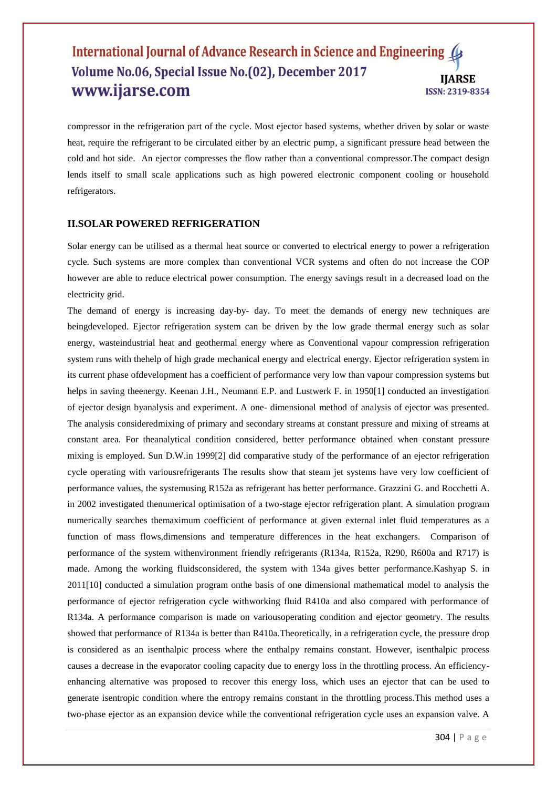compressor in the refrigeration part of the cycle. Most ejector based systems, whether driven by solar or waste heat, require the refrigerant to be circulated either by an electric pump, a significant pressure head between the cold and hot side. An ejector compresses the flow rather than a conventional compressor.The compact design lends itself to small scale applications such as high powered electronic component cooling or household refrigerators.

# **II.SOLAR POWERED REFRIGERATION**

Solar energy can be utilised as a thermal heat source or converted to electrical energy to power a refrigeration cycle. Such systems are more complex than conventional VCR systems and often do not increase the COP however are able to reduce electrical power consumption. The energy savings result in a decreased load on the electricity grid.

The demand of energy is increasing day-by- day. To meet the demands of energy new techniques are beingdeveloped. Ejector refrigeration system can be driven by the low grade thermal energy such as solar energy, wasteindustrial heat and geothermal energy where as Conventional vapour compression refrigeration system runs with thehelp of high grade mechanical energy and electrical energy. Ejector refrigeration system in its current phase ofdevelopment has a coefficient of performance very low than vapour compression systems but helps in saving the energy. Keenan J.H., Neumann E.P. and Lustwerk F. in 1950[1] conducted an investigation of ejector design byanalysis and experiment. A one- dimensional method of analysis of ejector was presented. The analysis consideredmixing of primary and secondary streams at constant pressure and mixing of streams at constant area. For theanalytical condition considered, better performance obtained when constant pressure mixing is employed. Sun D.W.in 1999[2] did comparative study of the performance of an ejector refrigeration cycle operating with variousrefrigerants The results show that steam jet systems have very low coefficient of performance values, the systemusing R152a as refrigerant has better performance. Grazzini G. and Rocchetti A. in 2002 investigated thenumerical optimisation of a two-stage ejector refrigeration plant. A simulation program numerically searches themaximum coefficient of performance at given external inlet fluid temperatures as a function of mass flows,dimensions and temperature differences in the heat exchangers. Comparison of performance of the system withenvironment friendly refrigerants (R134a, R152a, R290, R600a and R717) is made. Among the working fluidsconsidered, the system with 134a gives better performance.Kashyap S. in 2011[10] conducted a simulation program onthe basis of one dimensional mathematical model to analysis the performance of ejector refrigeration cycle withworking fluid R410a and also compared with performance of R134a. A performance comparison is made on variousoperating condition and ejector geometry. The results showed that performance of R134a is better than R410a.Theoretically, in a refrigeration cycle, the pressure drop is considered as an isenthalpic process where the enthalpy remains constant. However, isenthalpic process causes a decrease in the evaporator cooling capacity due to energy loss in the throttling process. An efficiencyenhancing alternative was proposed to recover this energy loss, which uses an ejector that can be used to generate isentropic condition where the entropy remains constant in the throttling process.This method uses a two-phase ejector as an expansion device while the conventional refrigeration cycle uses an expansion valve. A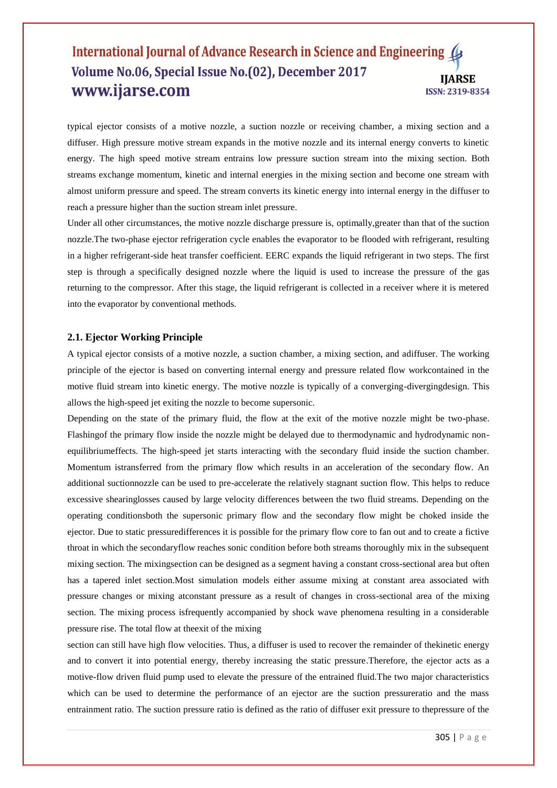typical ejector consists of a motive nozzle, a suction nozzle or receiving chamber, a mixing section and a diffuser. High pressure motive stream expands in the motive nozzle and its internal energy converts to kinetic energy. The high speed motive stream entrains low pressure suction stream into the mixing section. Both streams exchange momentum, kinetic and internal energies in the mixing section and become one stream with almost uniform pressure and speed. The stream converts its kinetic energy into internal energy in the diffuser to reach a pressure higher than the suction stream inlet pressure.

Under all other circumstances, the motive nozzle discharge pressure is, optimally,greater than that of the suction nozzle.The two-phase ejector refrigeration cycle enables the evaporator to be flooded with refrigerant, resulting in a higher refrigerant-side heat transfer coefficient. EERC expands the liquid refrigerant in two steps. The first step is through a specifically designed nozzle where the liquid is used to increase the pressure of the gas returning to the compressor. After this stage, the liquid refrigerant is collected in a receiver where it is metered into the evaporator by conventional methods.

## **2.1. Ejector Working Principle**

A typical ejector consists of a motive nozzle, a suction chamber, a mixing section, and adiffuser. The working principle of the ejector is based on converting internal energy and pressure related flow workcontained in the motive fluid stream into kinetic energy. The motive nozzle is typically of a converging-divergingdesign. This allows the high-speed jet exiting the nozzle to become supersonic.

Depending on the state of the primary fluid, the flow at the exit of the motive nozzle might be two-phase. Flashingof the primary flow inside the nozzle might be delayed due to thermodynamic and hydrodynamic nonequilibriumeffects. The high-speed jet starts interacting with the secondary fluid inside the suction chamber. Momentum istransferred from the primary flow which results in an acceleration of the secondary flow. An additional suctionnozzle can be used to pre-accelerate the relatively stagnant suction flow. This helps to reduce excessive shearinglosses caused by large velocity differences between the two fluid streams. Depending on the operating conditionsboth the supersonic primary flow and the secondary flow might be choked inside the ejector. Due to static pressuredifferences it is possible for the primary flow core to fan out and to create a fictive throat in which the secondaryflow reaches sonic condition before both streams thoroughly mix in the subsequent mixing section. The mixingsection can be designed as a segment having a constant cross-sectional area but often has a tapered inlet section.Most simulation models either assume mixing at constant area associated with pressure changes or mixing atconstant pressure as a result of changes in cross-sectional area of the mixing section. The mixing process isfrequently accompanied by shock wave phenomena resulting in a considerable pressure rise. The total flow at theexit of the mixing

section can still have high flow velocities. Thus, a diffuser is used to recover the remainder of thekinetic energy and to convert it into potential energy, thereby increasing the static pressure.Therefore, the ejector acts as a motive-flow driven fluid pump used to elevate the pressure of the entrained fluid.The two major characteristics which can be used to determine the performance of an ejector are the suction pressureratio and the mass entrainment ratio. The suction pressure ratio is defined as the ratio of diffuser exit pressure to thepressure of the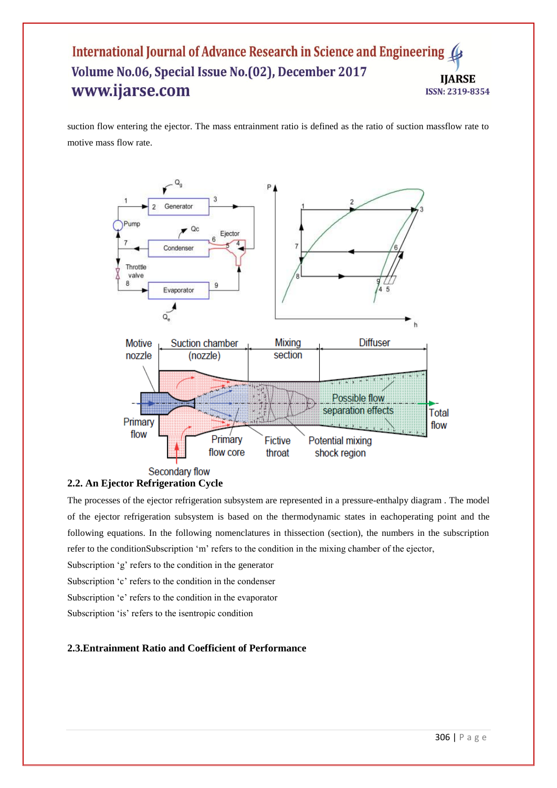suction flow entering the ejector. The mass entrainment ratio is defined as the ratio of suction massflow rate to motive mass flow rate.





The processes of the ejector refrigeration subsystem are represented in a pressure-enthalpy diagram . The model of the ejector refrigeration subsystem is based on the thermodynamic states in eachoperating point and the following equations. In the following nomenclatures in thissection (section), the numbers in the subscription refer to the conditionSubscription "m" refers to the condition in the mixing chamber of the ejector,

Subscription 'g' refers to the condition in the generator

Subscription 'c' refers to the condition in the condenser

Subscription 'e' refers to the condition in the evaporator

Subscription 'is' refers to the isentropic condition

# **2.3.Entrainment Ratio and Coefficient of Performance**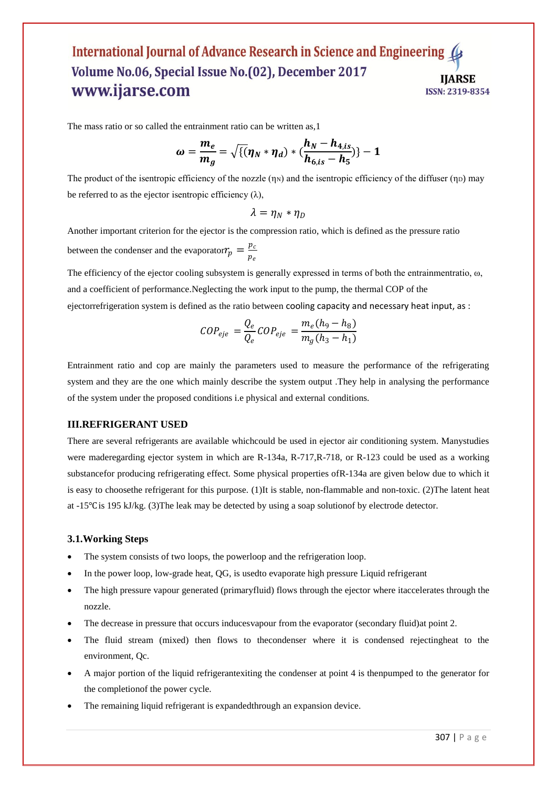The mass ratio or so called the entrainment ratio can be written as,1

$$
\omega = \frac{m_e}{m_g} = \sqrt{\{( \eta_N * \eta_d) * (\frac{h_N - h_{4, is}}{h_{6, is} - h_5}) \} - 1}
$$

The product of the isentropic efficiency of the nozzle  $(\eta_N)$  and the isentropic efficiency of the diffuser  $(\eta_D)$  may be referred to as the ejector isentropic efficiency  $(\lambda)$ ,

$$
\lambda=\eta_N*\eta_D
$$

Another important criterion for the ejector is the compression ratio, which is defined as the pressure ratio between the condenser and the evaporator  $r_p = \frac{p_c}{r_p}$  $p_e$ 

The efficiency of the ejector cooling subsystem is generally expressed in terms of both the entrainmentratio,  $\omega$ , and a coefficient of performance.Neglecting the work input to the pump, the thermal COP of the ejectorrefrigeration system is defined as the ratio between cooling capacity and necessary heat input, as :

$$
COP_{eje} = \frac{Q_e}{Q_e} COP_{eje} = \frac{m_e (h_9 - h_8)}{m_g (h_3 - h_1)}
$$

Entrainment ratio and cop are mainly the parameters used to measure the performance of the refrigerating system and they are the one which mainly describe the system output .They help in analysing the performance of the system under the proposed conditions i.e physical and external conditions.

#### **III.REFRIGERANT USED**

There are several refrigerants are available whichcould be used in ejector air conditioning system. Manystudies were maderegarding ejector system in which are R-134a, R-717, R-718, or R-123 could be used as a working substancefor producing refrigerating effect. Some physical properties ofR-134a are given below due to which it is easy to choosethe refrigerant for this purpose. (1)It is stable, non-flammable and non-toxic. (2)The latent heat at -15℃ is 195 kJ/kg. (3)The leak may be detected by using a soap solutionof by electrode detector.

#### **3.1.Working Steps**

- The system consists of two loops, the powerloop and the refrigeration loop.
- In the power loop, low-grade heat, QG, is usedto evaporate high pressure Liquid refrigerant
- The high pressure vapour generated (primaryfluid) flows through the ejector where itaccelerates through the nozzle.
- The decrease in pressure that occurs inducesvapour from the evaporator (secondary fluid)at point 2.
- The fluid stream (mixed) then flows to thecondenser where it is condensed rejectingheat to the environment, Qc.
- A major portion of the liquid refrigerantexiting the condenser at point 4 is thenpumped to the generator for the completionof the power cycle.
- The remaining liquid refrigerant is expandedthrough an expansion device.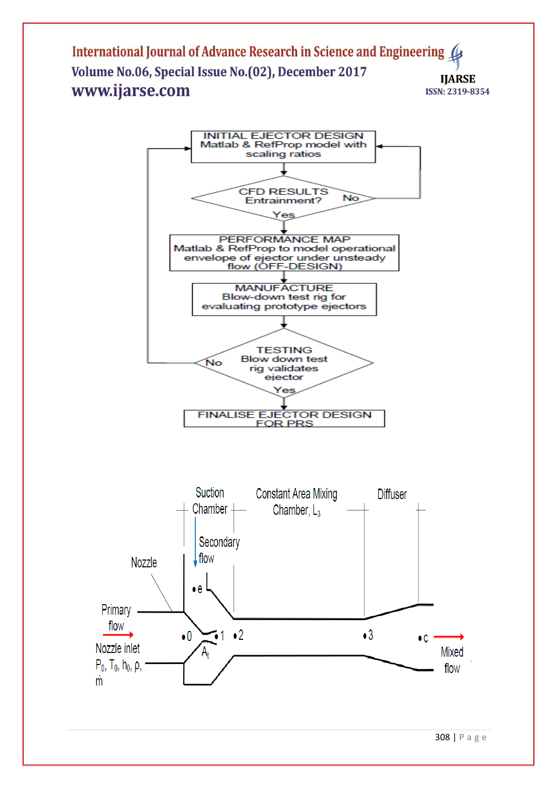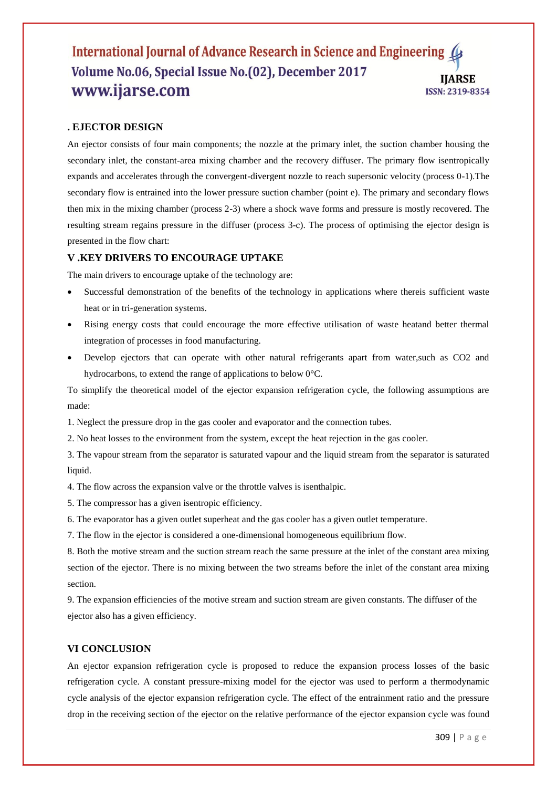# **. EJECTOR DESIGN**

An ejector consists of four main components; the nozzle at the primary inlet, the suction chamber housing the secondary inlet, the constant-area mixing chamber and the recovery diffuser. The primary flow isentropically expands and accelerates through the convergent-divergent nozzle to reach supersonic velocity (process 0-1).The secondary flow is entrained into the lower pressure suction chamber (point e). The primary and secondary flows then mix in the mixing chamber (process 2-3) where a shock wave forms and pressure is mostly recovered. The resulting stream regains pressure in the diffuser (process 3-c). The process of optimising the ejector design is presented in the flow chart:

# **V .KEY DRIVERS TO ENCOURAGE UPTAKE**

The main drivers to encourage uptake of the technology are:

- Successful demonstration of the benefits of the technology in applications where thereis sufficient waste heat or in tri-generation systems.
- Rising energy costs that could encourage the more effective utilisation of waste heatand better thermal integration of processes in food manufacturing.
- Develop ejectors that can operate with other natural refrigerants apart from water,such as CO2 and hydrocarbons, to extend the range of applications to below 0°C.

To simplify the theoretical model of the ejector expansion refrigeration cycle, the following assumptions are made:

1. Neglect the pressure drop in the gas cooler and evaporator and the connection tubes.

2. No heat losses to the environment from the system, except the heat rejection in the gas cooler.

3. The vapour stream from the separator is saturated vapour and the liquid stream from the separator is saturated liquid.

4. The flow across the expansion valve or the throttle valves is isenthalpic.

5. The compressor has a given isentropic efficiency.

6. The evaporator has a given outlet superheat and the gas cooler has a given outlet temperature.

7. The flow in the ejector is considered a one-dimensional homogeneous equilibrium flow.

8. Both the motive stream and the suction stream reach the same pressure at the inlet of the constant area mixing section of the ejector. There is no mixing between the two streams before the inlet of the constant area mixing section.

9. The expansion efficiencies of the motive stream and suction stream are given constants. The diffuser of the ejector also has a given efficiency.

#### **VI CONCLUSION**

An ejector expansion refrigeration cycle is proposed to reduce the expansion process losses of the basic refrigeration cycle. A constant pressure-mixing model for the ejector was used to perform a thermodynamic cycle analysis of the ejector expansion refrigeration cycle. The effect of the entrainment ratio and the pressure drop in the receiving section of the ejector on the relative performance of the ejector expansion cycle was found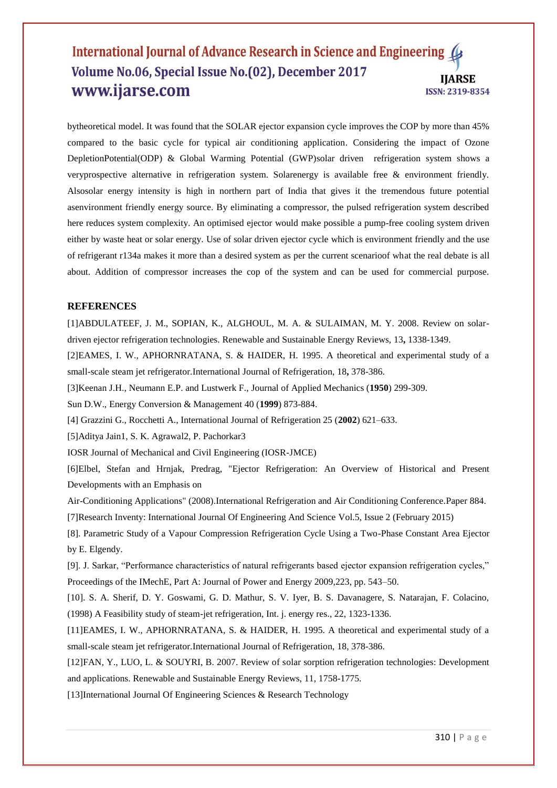bytheoretical model. It was found that the SOLAR ejector expansion cycle improves the COP by more than 45% compared to the basic cycle for typical air conditioning application. Considering the impact of Ozone DepletionPotential(ODP) & Global Warming Potential (GWP)solar driven refrigeration system shows a veryprospective alternative in refrigeration system. Solarenergy is available free & environment friendly. Alsosolar energy intensity is high in northern part of India that gives it the tremendous future potential asenvironment friendly energy source. By eliminating a compressor, the pulsed refrigeration system described here reduces system complexity. An optimised ejector would make possible a pump-free cooling system driven either by waste heat or solar energy. Use of solar driven ejector cycle which is environment friendly and the use of refrigerant r134a makes it more than a desired system as per the current scenarioof what the real debate is all about. Addition of compressor increases the cop of the system and can be used for commercial purpose.

#### **REFERENCES**

[1]ABDULATEEF, J. M., SOPIAN, K., ALGHOUL, M. A. & SULAIMAN, M. Y. 2008. Review on solardriven ejector refrigeration technologies. Renewable and Sustainable Energy Reviews, 13**,** 1338-1349.

[2]EAMES, I. W., APHORNRATANA, S. & HAIDER, H. 1995. A theoretical and experimental study of a small-scale steam jet refrigerator.International Journal of Refrigeration, 18**,** 378-386.

[3]Keenan J.H., Neumann E.P. and Lustwerk F., Journal of Applied Mechanics (**1950**) 299-309.

Sun D.W., Energy Conversion & Management 40 (**1999**) 873-884.

[4] Grazzini G., Rocchetti A., International Journal of Refrigeration 25 (**2002**) 621–633.

[5]Aditya Jain1, S. K. Agrawal2, P. Pachorkar3

IOSR Journal of Mechanical and Civil Engineering (IOSR-JMCE)

[6]Elbel, Stefan and Hrnjak, Predrag, "Ejector Refrigeration: An Overview of Historical and Present Developments with an Emphasis on

Air-Conditioning Applications" (2008).International Refrigeration and Air Conditioning Conference.Paper 884.

[7]Research Inventy: International Journal Of Engineering And Science Vol.5, Issue 2 (February 2015)

[8]. Parametric Study of a Vapour Compression Refrigeration Cycle Using a Two-Phase Constant Area Ejector by E. Elgendy.

[9]. J. Sarkar, "Performance characteristics of natural refrigerants based ejector expansion refrigeration cycles," Proceedings of the IMechE, Part A: Journal of Power and Energy 2009,223, pp. 543–50.

[10]. S. A. Sherif, D. Y. Goswami, G. D. Mathur, S. V. Iyer, B. S. Davanagere, S. Natarajan, F. Colacino, (1998) A Feasibility study of steam-jet refrigeration, Int. j. energy res., 22, 1323-1336.

[11]EAMES, I. W., APHORNRATANA, S. & HAIDER, H. 1995. A theoretical and experimental study of a small-scale steam jet refrigerator.International Journal of Refrigeration, 18, 378-386.

[12]FAN, Y., LUO, L. & SOUYRI, B. 2007. Review of solar sorption refrigeration technologies: Development and applications. Renewable and Sustainable Energy Reviews, 11, 1758-1775.

[13]International Journal Of Engineering Sciences & Research Technology